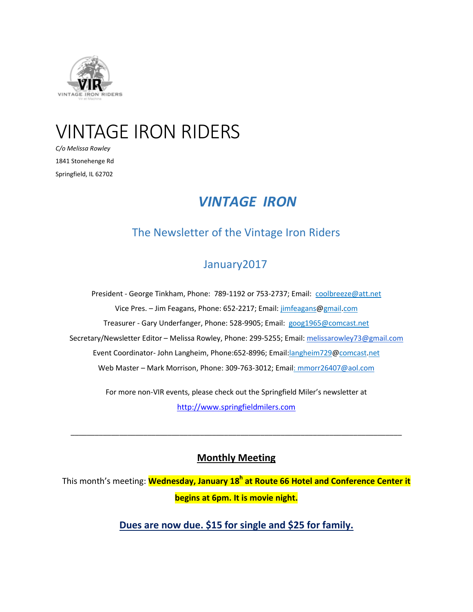

# VINTAGE IRON RIDERS

*C/o Melissa Rowley* 1841 Stonehenge Rd Springfield, IL 62702

## *VINTAGE IRON*

## The Newsletter of the Vintage Iron Riders

## January2017

President - George Tinkham, Phone: 789-1192 or 753-2737; Email: [coolbreeze@att.net](mailto:coolbreeze@att.net%20%5C) Vice Pres. - Jim Feagans, Phone: 652-2217; Email: jimfeagans@gmail.com Treasurer - Gary Underfanger, Phone: 528-9905; Email: [goog1965@comcast.net](mailto:goog1965@comcast.net%20%5C) Secretary/Newsletter Editor - Melissa Rowley, Phone: 299-5255; Email: [melissarowley73@gmail.com](mailto:melissarowley73@gmail.com%20%5C) Event Coordinator- John Langheim, Phone:652-8996; Email:langheim729@comcast.net Web Master – Mark Morrison, Phone: 309-763-3012; Email: [mmorr26407@aol.com](mailto:mmorr26407@aol.com)

> For more non-VIR events, please check out the Springfield Miler's newsletter at [http://www.springfieldmilers.com](http://www.springfieldmilers.com/)

## **Monthly Meeting**

\_\_\_\_\_\_\_\_\_\_\_\_\_\_\_\_\_\_\_\_\_\_\_\_\_\_\_\_\_\_\_\_\_\_\_\_\_\_\_\_\_\_\_\_\_\_\_\_\_\_\_\_\_\_\_\_\_\_\_\_\_\_\_\_\_\_\_\_\_\_\_\_\_\_\_\_\_\_\_\_\_\_

This month's meeting: **Wednesday, January 18<sup>h</sup> at Route 66 Hotel and Conference Center it begins at 6pm. It is movie night.**

**Dues are now due. \$15 for single and \$25 for family.**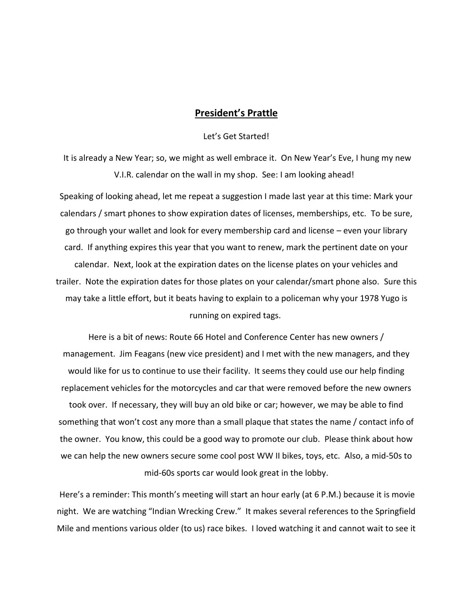#### **President's Prattle**

#### Let's Get Started!

It is already a New Year; so, we might as well embrace it. On New Year's Eve, I hung my new V.I.R. calendar on the wall in my shop. See: I am looking ahead!

Speaking of looking ahead, let me repeat a suggestion I made last year at this time: Mark your calendars / smart phones to show expiration dates of licenses, memberships, etc. To be sure, go through your wallet and look for every membership card and license – even your library card. If anything expires this year that you want to renew, mark the pertinent date on your calendar. Next, look at the expiration dates on the license plates on your vehicles and trailer. Note the expiration dates for those plates on your calendar/smart phone also. Sure this may take a little effort, but it beats having to explain to a policeman why your 1978 Yugo is running on expired tags.

Here is a bit of news: Route 66 Hotel and Conference Center has new owners / management. Jim Feagans (new vice president) and I met with the new managers, and they would like for us to continue to use their facility. It seems they could use our help finding replacement vehicles for the motorcycles and car that were removed before the new owners took over. If necessary, they will buy an old bike or car; however, we may be able to find something that won't cost any more than a small plaque that states the name / contact info of the owner. You know, this could be a good way to promote our club. Please think about how we can help the new owners secure some cool post WW II bikes, toys, etc. Also, a mid-50s to mid-60s sports car would look great in the lobby.

Here's a reminder: This month's meeting will start an hour early (at 6 P.M.) because it is movie night. We are watching "Indian Wrecking Crew." It makes several references to the Springfield Mile and mentions various older (to us) race bikes. I loved watching it and cannot wait to see it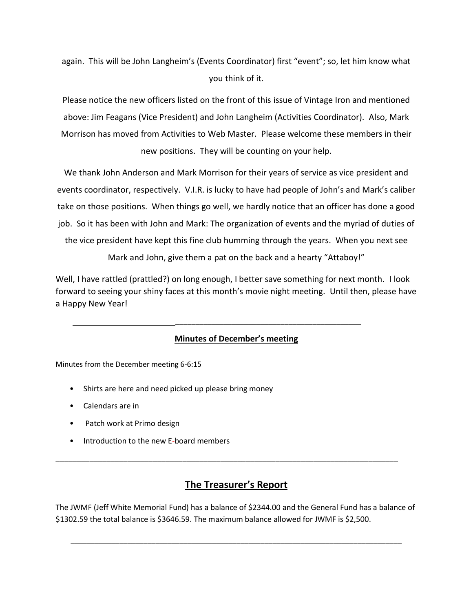again. This will be John Langheim's (Events Coordinator) first "event"; so, let him know what you think of it.

Please notice the new officers listed on the front of this issue of Vintage Iron and mentioned above: Jim Feagans (Vice President) and John Langheim (Activities Coordinator). Also, Mark Morrison has moved from Activities to Web Master. Please welcome these members in their new positions. They will be counting on your help.

We thank John Anderson and Mark Morrison for their years of service as vice president and events coordinator, respectively. V.I.R. is lucky to have had people of John's and Mark's caliber take on those positions. When things go well, we hardly notice that an officer has done a good job. So it has been with John and Mark: The organization of events and the myriad of duties of the vice president have kept this fine club humming through the years. When you next see

Mark and John, give them a pat on the back and a hearty "Attaboy!"

Well, I have rattled (prattled?) on long enough, I better save something for next month. I look forward to seeing your shiny faces at this month's movie night meeting. Until then, please have a Happy New Year!

#### **Minutes of December's meeting**

\_\_\_\_\_\_\_\_\_\_\_\_\_\_\_\_\_\_\_\_\_\_\_\_\_\_\_\_\_\_\_\_\_\_\_\_\_\_\_\_\_\_\_\_\_\_

Minutes from the December meeting 6-6:15

- Shirts are here and need picked up please bring money
- Calendars are in
- Patch work at Primo design
- Introduction to the new E-board members

## **The Treasurer's Report**

\_\_\_\_\_\_\_\_\_\_\_\_\_\_\_\_\_\_\_\_\_\_\_\_\_\_\_\_\_\_\_\_\_\_\_\_\_\_\_\_\_\_\_\_\_\_\_\_\_\_\_\_\_\_\_\_\_\_\_\_\_\_\_\_\_\_\_\_\_\_\_\_\_\_\_\_\_\_\_\_\_

The JWMF (Jeff White Memorial Fund) has a balance of \$2344.00 and the General Fund has a balance of \$1302.59 the total balance is \$3646.59. The maximum balance allowed for JWMF is \$2,500.

\_\_\_\_\_\_\_\_\_\_\_\_\_\_\_\_\_\_\_\_\_\_\_\_\_\_\_\_\_\_\_\_\_\_\_\_\_\_\_\_\_\_\_\_\_\_\_\_\_\_\_\_\_\_\_\_\_\_\_\_\_\_\_\_\_\_\_\_\_\_\_\_\_\_\_\_\_\_\_\_\_\_